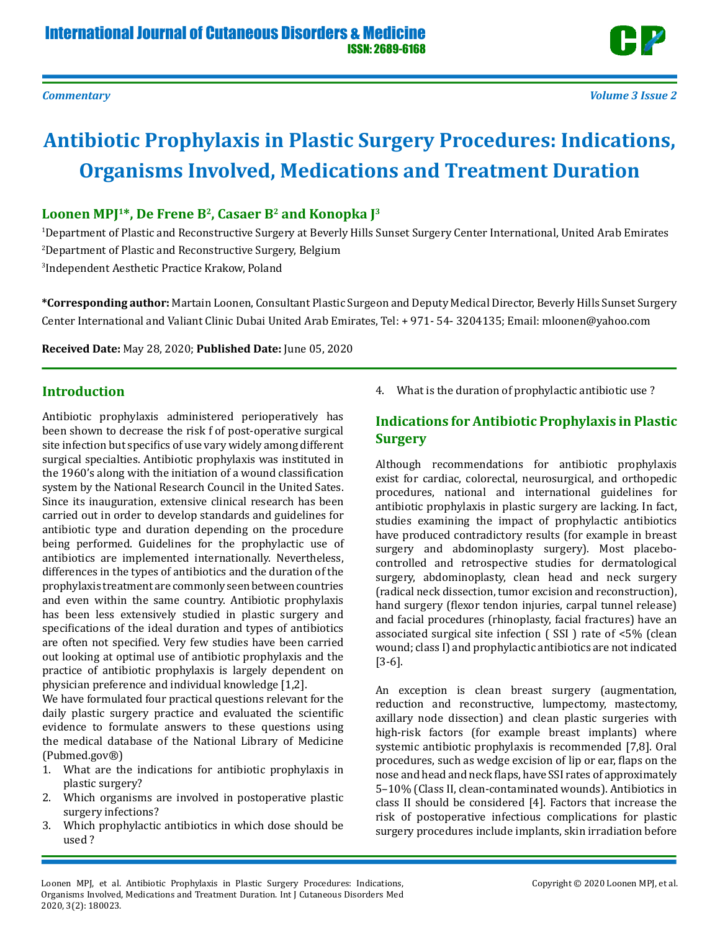# **Antibiotic Prophylaxis in Plastic Surgery Procedures: Indications, Organisms Involved, Medications and Treatment Duration**

## Loonen MPI<sup>1\*</sup>, De Frene B<sup>2</sup>, Casaer B<sup>2</sup> and Konopka I<sup>3</sup>

1 Department of Plastic and Reconstructive Surgery at Beverly Hills Sunset Surgery Center International, United Arab Emirates 2 Department of Plastic and Reconstructive Surgery, Belgium 3 Independent Aesthetic Practice Krakow, Poland

**\*Corresponding author:** Martain Loonen, Consultant Plastic Surgeon and Deputy Medical Director, Beverly Hills Sunset Surgery Center International and Valiant Clinic Dubai United Arab Emirates, Tel: + 971- 54- 3204135; Email: mloonen@yahoo.com

**Received Date:** May 28, 2020; **Published Date:** June 05, 2020

# **Introduction**

Antibiotic prophylaxis administered perioperatively has been shown to decrease the risk f of post-operative surgical site infection but specifics of use vary widely among different surgical specialties. Antibiotic prophylaxis was instituted in the 1960's along with the initiation of a wound classification system by the National Research Council in the United Sates. Since its inauguration, extensive clinical research has been carried out in order to develop standards and guidelines for antibiotic type and duration depending on the procedure being performed. Guidelines for the prophylactic use of antibiotics are implemented internationally. Nevertheless, differences in the types of antibiotics and the duration of the prophylaxis treatment are commonly seen between countries and even within the same country. Antibiotic prophylaxis has been less extensively studied in plastic surgery and specifications of the ideal duration and types of antibiotics are often not specified. Very few studies have been carried out looking at optimal use of antibiotic prophylaxis and the practice of antibiotic prophylaxis is largely dependent on physician preference and individual knowledge [1,2].

We have formulated four practical questions relevant for the daily plastic surgery practice and evaluated the scientific evidence to formulate answers to these questions using the medical database of the National Library of Medicine (Pubmed.gov®)

- 1. What are the indications for antibiotic prophylaxis in plastic surgery?
- 2. Which organisms are involved in postoperative plastic surgery infections?
- 3. Which prophylactic antibiotics in which dose should be used ?

4. What is the duration of prophylactic antibiotic use ?

## **Indications for Antibiotic Prophylaxis in Plastic Surgery**

Although recommendations for antibiotic prophylaxis exist for cardiac, colorectal, neurosurgical, and orthopedic procedures, national and international guidelines for antibiotic prophylaxis in plastic surgery are lacking. In fact, studies examining the impact of prophylactic antibiotics have produced contradictory results (for example in breast surgery and abdominoplasty surgery). Most placebocontrolled and retrospective studies for dermatological surgery, abdominoplasty, clean head and neck surgery (radical neck dissection, tumor excision and reconstruction), hand surgery (flexor tendon injuries, carpal tunnel release) and facial procedures (rhinoplasty, facial fractures) have an associated surgical site infection ( SSI ) rate of <5% (clean wound; class I) and prophylactic antibiotics are not indicated [3-6].

An exception is clean breast surgery (augmentation, reduction and reconstructive, lumpectomy, mastectomy, axillary node dissection) and clean plastic surgeries with high-risk factors (for example breast implants) where systemic antibiotic prophylaxis is recommended [7,8]. Oral procedures, such as wedge excision of lip or ear, flaps on the nose and head and neck flaps, have SSI rates of approximately 5–10% (Class II, clean-contaminated wounds). Antibiotics in class II should be considered [4]. Factors that increase the risk of postoperative infectious complications for plastic surgery procedures include implants, skin irradiation before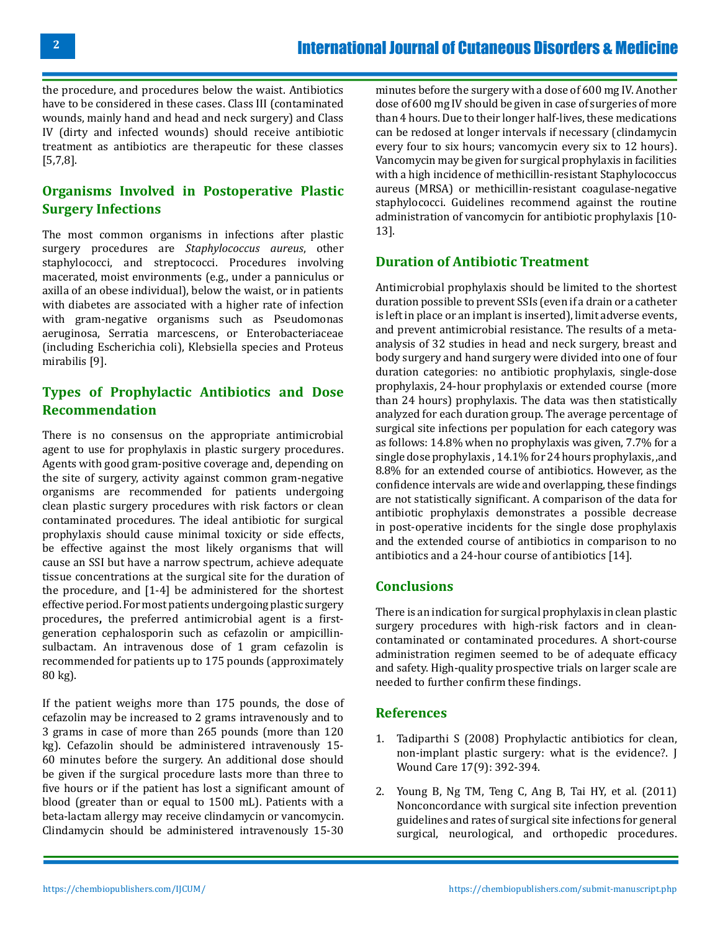the procedure, and procedures below the waist. Antibiotics have to be considered in these cases. Class III (contaminated wounds, mainly hand and head and neck surgery) and Class IV (dirty and infected wounds) should receive antibiotic treatment as antibiotics are therapeutic for these classes [5,7,8].

#### **Organisms Involved in Postoperative Plastic Surgery Infections**

The most common organisms in infections after plastic surgery procedures are *Staphylococcus aureus*, other staphylococci, and streptococci. Procedures involving macerated, moist environments (e.g., under a panniculus or axilla of an obese individual), below the waist, or in patients with diabetes are associated with a higher rate of infection with gram-negative organisms such as Pseudomonas aeruginosa, Serratia marcescens, or Enterobacteriaceae (including Escherichia coli), Klebsiella species and Proteus mirabilis [9].

## **Types of Prophylactic Antibiotics and Dose Recommendation**

There is no consensus on the appropriate antimicrobial agent to use for prophylaxis in plastic surgery procedures. Agents with good gram-positive coverage and, depending on the site of surgery, activity against common gram-negative organisms are recommended for patients undergoing clean plastic surgery procedures with risk factors or clean contaminated procedures. The ideal antibiotic for surgical prophylaxis should cause minimal toxicity or side effects, be effective against the most likely organisms that will cause an SSI but have a narrow spectrum, achieve adequate tissue concentrations at the surgical site for the duration of the procedure, and [1-4] be administered for the shortest effective period. For most patients undergoing plastic surgery procedures**,** the preferred antimicrobial agent is a firstgeneration cephalosporin such as cefazolin or ampicillinsulbactam. An intravenous dose of 1 gram cefazolin is recommended for patients up to 175 pounds (approximately 80 kg).

If the patient weighs more than 175 pounds, the dose of cefazolin may be increased to 2 grams intravenously and to 3 grams in case of more than 265 pounds (more than 120 kg). Cefazolin should be administered intravenously 15- 60 minutes before the surgery. An additional dose should be given if the surgical procedure lasts more than three to five hours or if the patient has lost a significant amount of blood (greater than or equal to 1500 mL). Patients with a beta-lactam allergy may receive clindamycin or vancomycin. Clindamycin should be administered intravenously 15-30

minutes before the surgery with a dose of 600 mg IV. Another dose of 600 mg IV should be given in case of surgeries of more than 4 hours. Due to their longer half-lives, these medications can be redosed at longer intervals if necessary (clindamycin every four to six hours; vancomycin every six to 12 hours). Vancomycin may be given for surgical prophylaxis in facilities with a high incidence of methicillin-resistant Staphylococcus aureus (MRSA) or methicillin-resistant coagulase-negative staphylococci. Guidelines recommend against the routine administration of vancomycin for antibiotic prophylaxis [10- 13].

#### **Duration of Antibiotic Treatment**

Antimicrobial prophylaxis should be limited to the shortest duration possible to prevent SSIs (even if a drain or a catheter is left in place or an implant is inserted), limit adverse events, and prevent antimicrobial resistance. The results of a metaanalysis of 32 studies in head and neck surgery, breast and body surgery and hand surgery were divided into one of four duration categories: no antibiotic prophylaxis, single-dose prophylaxis, 24-hour prophylaxis or extended course (more than 24 hours) prophylaxis. The data was then statistically analyzed for each duration group. The average percentage of surgical site infections per population for each category was as follows: 14.8% when no prophylaxis was given, 7.7% for a single dose prophylaxis , 14.1% for 24 hours prophylaxis, ,and 8.8% for an extended course of antibiotics. However, as the confidence intervals are wide and overlapping, these findings are not statistically significant. A comparison of the data for antibiotic prophylaxis demonstrates a possible decrease in post-operative incidents for the single dose prophylaxis and the extended course of antibiotics in comparison to no antibiotics and a 24-hour course of antibiotics [14].

#### **Conclusions**

There is an indication for surgical prophylaxis in clean plastic surgery procedures with high-risk factors and in cleancontaminated or contaminated procedures. A short-course administration regimen seemed to be of adequate efficacy and safety. High-quality prospective trials on larger scale are needed to further confirm these findings.

#### **References**

- 1. Tadiparthi S (2008) Prophylactic antibiotics for clean, non-implant plastic surgery: what is the evidence?. J Wound Care 17(9): 392-394.
- 2. Young B, Ng TM, Teng C, Ang B, Tai HY, et al. (2011) Nonconcordance with surgical site infection prevention guidelines and rates of surgical site infections for general surgical, neurological, and orthopedic procedures.